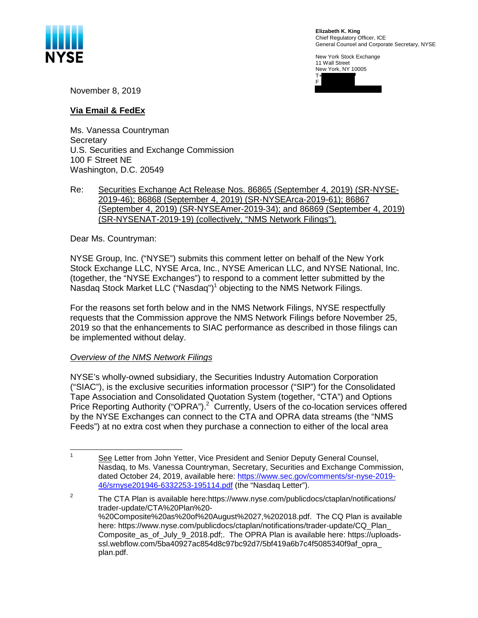

**Elizabeth K. King**  Chief Regulatory Officer, ICE General Counsel and Corporate Secretary, NYSE

New York Stock Exchange 11 Wall Street New York, NY 10005



November 8, 2019

## **Via Email & FedEx**

Ms. Vanessa Countryman **Secretary** U.S. Securities and Exchange Commission 100 F Street NE Washington, D.C. 20549

### Re: Securities Exchange Act Release Nos. 86865 (September 4, 2019) (SR-NYSE-2019-46); 86868 (September 4, 2019) (SR-NYSEArca-2019-61); 86867 (September 4, 2019) (SR-NYSEAmer-2019-34); and 86869 (September 4, 2019) (SR-NYSENAT-2019-19) (collectively, "NMS Network Filings").

Dear Ms. Countryman:

NYSE Group, Inc. ("NYSE") submits this comment letter on behalf of the New York Stock Exchange LLC, NYSE Arca, Inc., NYSE American LLC, and NYSE National, Inc. (together, the "NYSE Exchanges") to respond to a comment letter submitted by the Nasdaq Stock Market LLC ("Nasdaq")<sup>1</sup> objecting to the NMS Network Filings.

For the reasons set forth below and in the NMS Network Filings, NYSE respectfully requests that the Commission approve the NMS Network Filings before November 25, 2019 so that the enhancements to SIAC performance as described in those filings can be implemented without delay.

## *Overview of the NMS Network Filings*

NYSE's wholly-owned subsidiary, the Securities Industry Automation Corporation ("SIAC"), is the exclusive securities information processor ("SIP") for the Consolidated Tape Association and Consolidated Quotation System (together, "CTA") and Options Price Reporting Authority ("OPRA").<sup>2</sup> Currently, Users of the co-location services offered by the NYSE Exchanges can connect to the CTA and OPRA data streams (the "NMS Feeds") at no extra cost when they purchase a connection to either of the local area

<sup>&</sup>lt;sup>1</sup> See Letter from John Yetter, Vice President and Senior Deputy General Counsel, Nasdaq, to Ms. Vanessa Countryman, Secretary, Securities and Exchange Commission, dated October 24, 2019, available here:<https://www.sec.gov/comments/sr-nyse-2019>- 46/srnyse201946-6332253-195114.pdf (the "Nasdaq Letter").

<sup>&</sup>lt;sup>2</sup> The CTA Plan is available [here:https://www.nyse.com/publicdocs/ctaplan/notifications](https://here:https://www.nyse.com/publicdocs/ctaplan/notifications)/ trader-update/CTA%20Plan%20- %20Composite%20as%20of%20August%2027,%202018.pdf. The CQ Plan is available here: [https://www.nyse.com/publicdocs/ctaplan/notifications/trader-update/CQ\\_Plan\\_](https://www.nyse.com/publicdocs/ctaplan/notifications/trader-update/CQ_Plan) Composite\_as\_of\_July\_9\_2018.pdf;. The OPRA Plan is available here: <https://uploads>[ssl.webflow.com/5ba40927ac854d8c97bc92d7/5bf419a6b7c4f5085340f9af\\_opra](https://ssl.webflow.com/5ba40927ac854d8c97bc92d7/5bf419a6b7c4f5085340f9af_opra)\_ plan.pdf.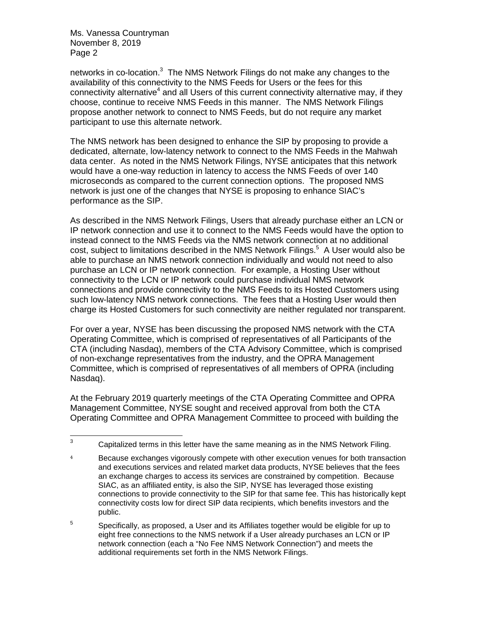networks in co-location.<sup>3</sup> The NMS Network Filings do not make any changes to the availability of this connectivity to the NMS Feeds for Users or the fees for this connectivity alternative<sup>4</sup> and all Users of this current connectivity alternative may, if they choose, continue to receive NMS Feeds in this manner. The NMS Network Filings propose another network to connect to NMS Feeds, but do not require any market participant to use this alternate network.

The NMS network has been designed to enhance the SIP by proposing to provide a dedicated, alternate, low-latency network to connect to the NMS Feeds in the Mahwah data center. As noted in the NMS Network Filings, NYSE anticipates that this network would have a one-way reduction in latency to access the NMS Feeds of over 140 microseconds as compared to the current connection options. The proposed NMS network is just one of the changes that NYSE is proposing to enhance SIAC's performance as the SIP.

As described in the NMS Network Filings, Users that already purchase either an LCN or IP network connection and use it to connect to the NMS Feeds would have the option to instead connect to the NMS Feeds via the NMS network connection at no additional cost, subject to limitations described in the NMS Network Filings.<sup>5</sup> A User would also be able to purchase an NMS network connection individually and would not need to also purchase an LCN or IP network connection. For example, a Hosting User without connectivity to the LCN or IP network could purchase individual NMS network connections and provide connectivity to the NMS Feeds to its Hosted Customers using such low-latency NMS network connections. The fees that a Hosting User would then charge its Hosted Customers for such connectivity are neither regulated nor transparent.

For over a year, NYSE has been discussing the proposed NMS network with the CTA Operating Committee, which is comprised of representatives of all Participants of the CTA (including Nasdaq), members of the CTA Advisory Committee, which is comprised of non-exchange representatives from the industry, and the OPRA Management Committee, which is comprised of representatives of all members of OPRA (including Nasdag).

At the February 2019 quarterly meetings of the CTA Operating Committee and OPRA Management Committee, NYSE sought and received approval from both the CTA Operating Committee and OPRA Management Committee to proceed with building the

 $3$  Capitalized terms in this letter have the same meaning as in the NMS Network Filing.

<sup>&</sup>lt;sup>4</sup> Because exchanges vigorously compete with other execution venues for both transaction and executions services and related market data products, NYSE believes that the fees an exchange charges to access its services are constrained by competition. Because SIAC, as an affiliated entity, is also the SIP, NYSE has leveraged those existing connections to provide connectivity to the SIP for that same fee. This has historically kept connectivity costs low for direct SIP data recipients, which benefits investors and the public.

 $5$  Specifically, as proposed, a User and its Affiliates together would be eligible for up to eight free connections to the NMS network if a User already purchases an LCN or IP network connection (each a "No Fee NMS Network Connection") and meets the additional requirements set forth in the NMS Network Filings.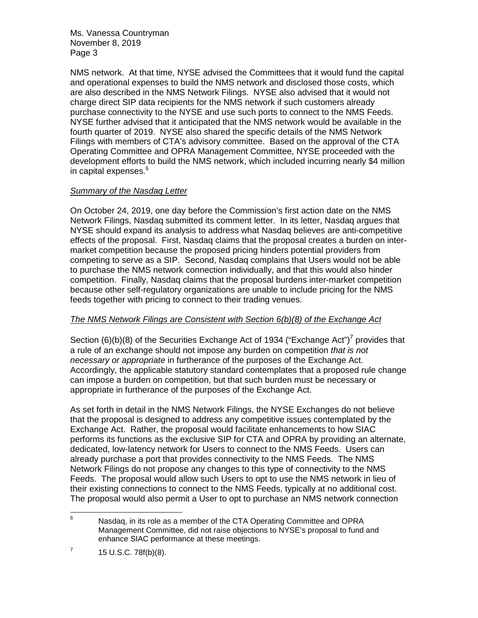NMS network. At that time, NYSE advised the Committees that it would fund the capital and operational expenses to build the NMS network and disclosed those costs, which are also described in the NMS Network Filings. NYSE also advised that it would not charge direct SIP data recipients for the NMS network if such customers already purchase connectivity to the NYSE and use such ports to connect to the NMS Feeds. NYSE further advised that it anticipated that the NMS network would be available in the fourth quarter of 2019. NYSE also shared the specific details of the NMS Network Filings with members of CTA's advisory committee. Based on the approval of the CTA Operating Committee and OPRA Management Committee, NYSE proceeded with the development efforts to build the NMS network, which included incurring nearly \$4 million in capital expenses.<sup>6</sup>

## *Summary of the Nasdaq Letter*

On October 24, 2019, one day before the Commission's first action date on the NMS Network Filings, Nasdaq submitted its comment letter. In its letter, Nasdaq argues that NYSE should expand its analysis to address what Nasdaq believes are anti-competitive effects of the proposal. First, Nasdaq claims that the proposal creates a burden on intermarket competition because the proposed pricing hinders potential providers from competing to serve as a SIP. Second, Nasdaq complains that Users would not be able to purchase the NMS network connection individually, and that this would also hinder competition. Finally, Nasdaq claims that the proposal burdens inter-market competition because other self-regulatory organizations are unable to include pricing for the NMS feeds together with pricing to connect to their trading venues.

# *The NMS Network Filings are Consistent with Section 6(b)(8) of the Exchange Act*

Section (6)(b)(8) of the Securities Exchange Act of 1934 ("Exchange Act")<sup>7</sup> provides that a rule of an exchange should not impose any burden on competition *that is not necessary or appropriate* in furtherance of the purposes of the Exchange Act. Accordingly, the applicable statutory standard contemplates that a proposed rule change can impose a burden on competition, but that such burden must be necessary or appropriate in furtherance of the purposes of the Exchange Act.

As set forth in detail in the NMS Network Filings, the NYSE Exchanges do not believe that the proposal is designed to address any competitive issues contemplated by the Exchange Act. Rather, the proposal would facilitate enhancements to how SIAC performs its functions as the exclusive SIP for CTA and OPRA by providing an alternate, dedicated, low-latency network for Users to connect to the NMS Feeds. Users can already purchase a port that provides connectivity to the NMS Feeds. The NMS Network Filings do not propose any changes to this type of connectivity to the NMS Feeds. The proposal would allow such Users to opt to use the NMS network in lieu of their existing connections to connect to the NMS Feeds, typically at no additional cost. The proposal would also permit a User to opt to purchase an NMS network connection

 $6$  Nasdag, in its role as a member of the CTA Operating Committee and OPRA Management Committee, did not raise objections to NYSE's proposal to fund and enhance SIAC performance at these meetings.

 $7$  15 U.S.C. 78f(b)(8).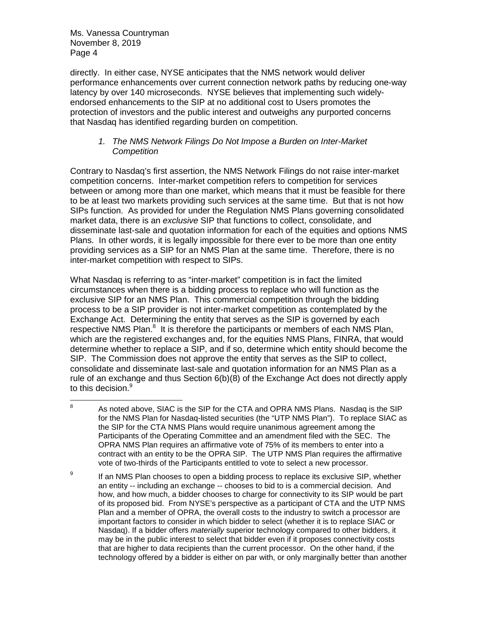directly. In either case, NYSE anticipates that the NMS network would deliver performance enhancements over current connection network paths by reducing one-way latency by over 140 microseconds. NYSE believes that implementing such widelyendorsed enhancements to the SIP at no additional cost to Users promotes the protection of investors and the public interest and outweighs any purported concerns that Nasdaq has identified regarding burden on competition.

### *1. The NMS Network Filings Do Not Impose a Burden on Inter-Market Competition*

Contrary to Nasdaq's first assertion, the NMS Network Filings do not raise inter-market competition concerns. Inter-market competition refers to competition for services between or among more than one market, which means that it must be feasible for there to be at least two markets providing such services at the same time. But that is not how SIPs function. As provided for under the Regulation NMS Plans governing consolidated market data, there is an *exclusive* SIP that functions to collect, consolidate, and disseminate last-sale and quotation information for each of the equities and options NMS Plans. In other words, it is legally impossible for there ever to be more than one entity providing services as a SIP for an NMS Plan at the same time. Therefore, there is no inter-market competition with respect to SIPs.

What Nasdaq is referring to as "inter-market" competition is in fact the limited circumstances when there is a bidding process to replace who will function as the exclusive SIP for an NMS Plan. This commercial competition through the bidding process to be a SIP provider is not inter-market competition as contemplated by the Exchange Act. Determining the entity that serves as the SIP is governed by each respective NMS Plan. $<sup>8</sup>$  It is therefore the participants or members of each NMS Plan,</sup> which are the registered exchanges and, for the equities NMS Plans, FINRA, that would determine whether to replace a SIP, and if so, determine which entity should become the SIP. The Commission does not approve the entity that serves as the SIP to collect, consolidate and disseminate last-sale and quotation information for an NMS Plan as a rule of an exchange and thus Section 6(b)(8) of the Exchange Act does not directly apply to this decision.<sup>9</sup>

 $8$  As noted above, SIAC is the SIP for the CTA and OPRA NMS Plans. Nasdag is the SIP for the NMS Plan for Nasdaq-listed securities (the "UTP NMS Plan"). To replace SIAC as the SIP for the CTA NMS Plans would require unanimous agreement among the Participants of the Operating Committee and an amendment filed with the SEC. The OPRA NMS Plan requires an affirmative vote of 75% of its members to enter into a contract with an entity to be the OPRA SIP. The UTP NMS Plan requires the affirmative vote of two-thirds of the Participants entitled to vote to select a new processor.

 $9$  If an NMS Plan chooses to open a bidding process to replace its exclusive SIP, whether an entity -- including an exchange -- chooses to bid to is a commercial decision. And how, and how much, a bidder chooses to charge for connectivity to its SIP would be part of its proposed bid. From NYSE's perspective as a participant of CTA and the UTP NMS Plan and a member of OPRA, the overall costs to the industry to switch a processor are important factors to consider in which bidder to select (whether it is to replace SIAC or Nasdaq). If a bidder offers *materially* superior technology compared to other bidders, it may be in the public interest to select that bidder even if it proposes connectivity costs that are higher to data recipients than the current processor. On the other hand, if the technology offered by a bidder is either on par with, or only marginally better than another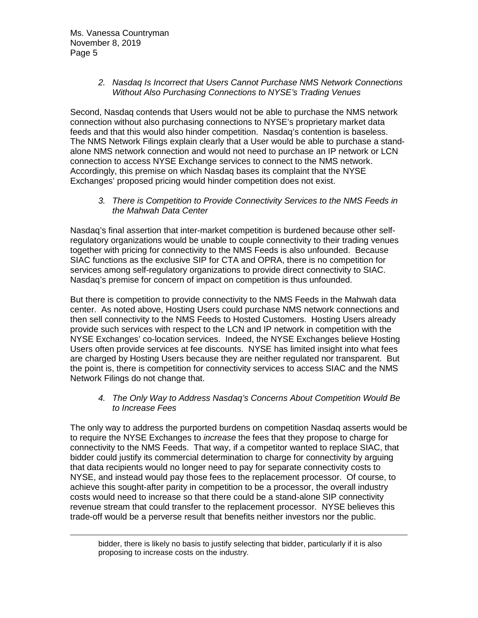## *2. Nasdaq Is Incorrect that Users Cannot Purchase NMS Network Connections Without Also Purchasing Connections to NYSE's Trading Venues*

Second, Nasdaq contends that Users would not be able to purchase the NMS network connection without also purchasing connections to NYSE's proprietary market data feeds and that this would also hinder competition. Nasdaq's contention is baseless. The NMS Network Filings explain clearly that a User would be able to purchase a standalone NMS network connection and would not need to purchase an IP network or LCN connection to access NYSE Exchange services to connect to the NMS network. Accordingly, this premise on which Nasdaq bases its complaint that the NYSE Exchanges' proposed pricing would hinder competition does not exist.

*3. There is Competition to Provide Connectivity Services to the NMS Feeds in the Mahwah Data Center* 

Nasdaq's final assertion that inter-market competition is burdened because other selfregulatory organizations would be unable to couple connectivity to their trading venues together with pricing for connectivity to the NMS Feeds is also unfounded. Because SIAC functions as the exclusive SIP for CTA and OPRA, there is no competition for services among self-regulatory organizations to provide direct connectivity to SIAC. Nasdaq's premise for concern of impact on competition is thus unfounded.

But there is competition to provide connectivity to the NMS Feeds in the Mahwah data center. As noted above, Hosting Users could purchase NMS network connections and then sell connectivity to the NMS Feeds to Hosted Customers. Hosting Users already provide such services with respect to the LCN and IP network in competition with the NYSE Exchanges' co-location services. Indeed, the NYSE Exchanges believe Hosting Users often provide services at fee discounts. NYSE has limited insight into what fees are charged by Hosting Users because they are neither regulated nor transparent. But the point is, there is competition for connectivity services to access SIAC and the NMS Network Filings do not change that.

## *4. The Only Way to Address Nasdaq's Concerns About Competition Would Be to Increase Fees*

The only way to address the purported burdens on competition Nasdaq asserts would be to require the NYSE Exchanges to *increase* the fees that they propose to charge for connectivity to the NMS Feeds. That way, if a competitor wanted to replace SIAC, that bidder could justify its commercial determination to charge for connectivity by arguing that data recipients would no longer need to pay for separate connectivity costs to NYSE, and instead would pay those fees to the replacement processor. Of course, to achieve this sought-after parity in competition to be a processor, the overall industry costs would need to increase so that there could be a stand-alone SIP connectivity revenue stream that could transfer to the replacement processor. NYSE believes this trade-off would be a perverse result that benefits neither investors nor the public.

bidder, there is likely no basis to justify selecting that bidder, particularly if it is also proposing to increase costs on the industry.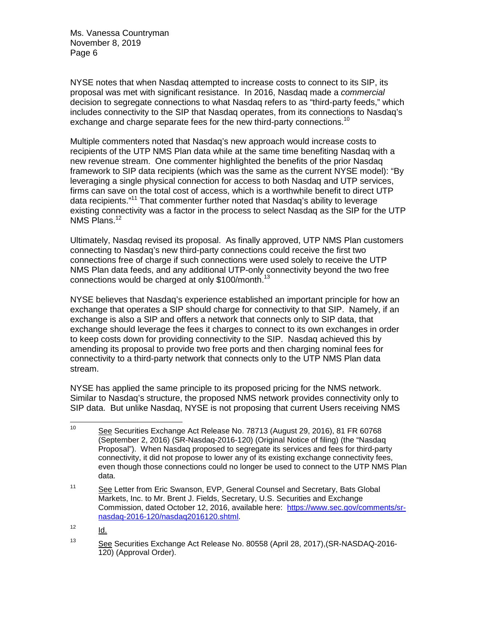NYSE notes that when Nasdaq attempted to increase costs to connect to its SIP, its proposal was met with significant resistance. In 2016, Nasdaq made a *commercial*  decision to segregate connections to what Nasdaq refers to as "third-party feeds," which includes connectivity to the SIP that Nasdaq operates, from its connections to Nasdaq's exchange and charge separate fees for the new third-party connections.<sup>10</sup>

Multiple commenters noted that Nasdaq's new approach would increase costs to recipients of the UTP NMS Plan data while at the same time benefiting Nasdaq with a new revenue stream. One commenter highlighted the benefits of the prior Nasdaq framework to SIP data recipients (which was the same as the current NYSE model): "By leveraging a single physical connection for access to both Nasdaq and UTP services, firms can save on the total cost of access, which is a worthwhile benefit to direct UTP data recipients."<sup>11</sup> That commenter further noted that Nasdaq's ability to leverage existing connectivity was a factor in the process to select Nasdaq as the SIP for the UTP NMS [Plans.](https://Plans.12)<sup>12</sup>

Ultimately, Nasdaq revised its proposal. As finally approved, UTP NMS Plan customers connecting to Nasdaq's new third-party connections could receive the first two connections free of charge if such connections were used solely to receive the UTP NMS Plan data feeds, and any additional UTP-only connectivity beyond the two free connections would be charged at only \$100/month.<sup>13</sup>

NYSE believes that Nasdaq's experience established an important principle for how an exchange that operates a SIP should charge for connectivity to that SIP. Namely, if an exchange is also a SIP and offers a network that connects only to SIP data, that exchange should leverage the fees it charges to connect to its own exchanges in order to keep costs down for providing connectivity to the SIP. Nasdaq achieved this by amending its proposal to provide two free ports and then charging nominal fees for connectivity to a third-party network that connects only to the UTP NMS Plan data stream.

NYSE has applied the same principle to its proposed pricing for the NMS network. Similar to Nasdaq's structure, the proposed NMS network provides connectivity only to SIP data. But unlike Nasdaq, NYSE is not proposing that current Users receiving NMS

<sup>&</sup>lt;sup>10</sup> See Securities Exchange Act Release No. 78713 (August 29, 2016), 81 FR 60768 (September 2, 2016) (SR-Nasdaq-2016-120) (Original Notice of filing) (the "Nasdaq Proposal"). When Nasdaq proposed to segregate its services and fees for third-party connectivity, it did not propose to lower any of its existing exchange connectivity fees, even though those connections could no longer be used to connect to the UTP NMS Plan data.

<sup>&</sup>lt;sup>11</sup> See Letter from Eric Swanson, EVP, General Counsel and Secretary, Bats Global Markets, Inc. to Mr. Brent J. Fields, Secretary, U.S. Securities and Exchange Commission, dated October 12, 2016, available here: <https://www.sec.gov/comments/sr>nasdaq-2016-120/nasdaq2016120.shtml.

 $12$  Id.

<sup>13</sup> See Securities Exchange Act Release No. 80558 (April 28, 2017),(SR-NASDAQ-2016- 120) (Approval Order).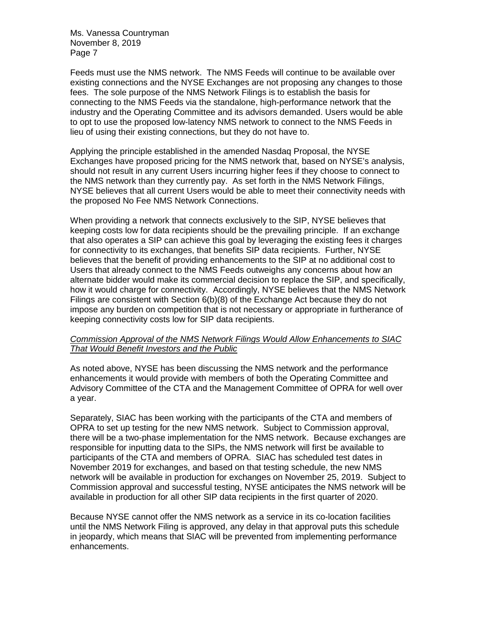Feeds must use the NMS network. The NMS Feeds will continue to be available over existing connections and the NYSE Exchanges are not proposing any changes to those fees. The sole purpose of the NMS Network Filings is to establish the basis for connecting to the NMS Feeds via the standalone, high-performance network that the industry and the Operating Committee and its advisors demanded. Users would be able to opt to use the proposed low-latency NMS network to connect to the NMS Feeds in lieu of using their existing connections, but they do not have to.

Applying the principle established in the amended Nasdaq Proposal, the NYSE Exchanges have proposed pricing for the NMS network that, based on NYSE's analysis, should not result in any current Users incurring higher fees if they choose to connect to the NMS network than they currently pay. As set forth in the NMS Network Filings, NYSE believes that all current Users would be able to meet their connectivity needs with the proposed No Fee NMS Network Connections.

When providing a network that connects exclusively to the SIP, NYSE believes that keeping costs low for data recipients should be the prevailing principle. If an exchange that also operates a SIP can achieve this goal by leveraging the existing fees it charges for connectivity to its exchanges, that benefits SIP data recipients. Further, NYSE believes that the benefit of providing enhancements to the SIP at no additional cost to Users that already connect to the NMS Feeds outweighs any concerns about how an alternate bidder would make its commercial decision to replace the SIP, and specifically, how it would charge for connectivity. Accordingly, NYSE believes that the NMS Network Filings are consistent with Section 6(b)(8) of the Exchange Act because they do not impose any burden on competition that is not necessary or appropriate in furtherance of keeping connectivity costs low for SIP data recipients.

### *Commission Approval of the NMS Network Filings Would Allow Enhancements to SIAC That Would Benefit Investors and the Public*

As noted above, NYSE has been discussing the NMS network and the performance enhancements it would provide with members of both the Operating Committee and Advisory Committee of the CTA and the Management Committee of OPRA for well over a year.

Separately, SIAC has been working with the participants of the CTA and members of OPRA to set up testing for the new NMS network. Subject to Commission approval, there will be a two-phase implementation for the NMS network. Because exchanges are responsible for inputting data to the SIPs, the NMS network will first be available to participants of the CTA and members of OPRA. SIAC has scheduled test dates in November 2019 for exchanges, and based on that testing schedule, the new NMS network will be available in production for exchanges on November 25, 2019. Subject to Commission approval and successful testing, NYSE anticipates the NMS network will be available in production for all other SIP data recipients in the first quarter of 2020.

Because NYSE cannot offer the NMS network as a service in its co-location facilities until the NMS Network Filing is approved, any delay in that approval puts this schedule in jeopardy, which means that SIAC will be prevented from implementing performance enhancements.